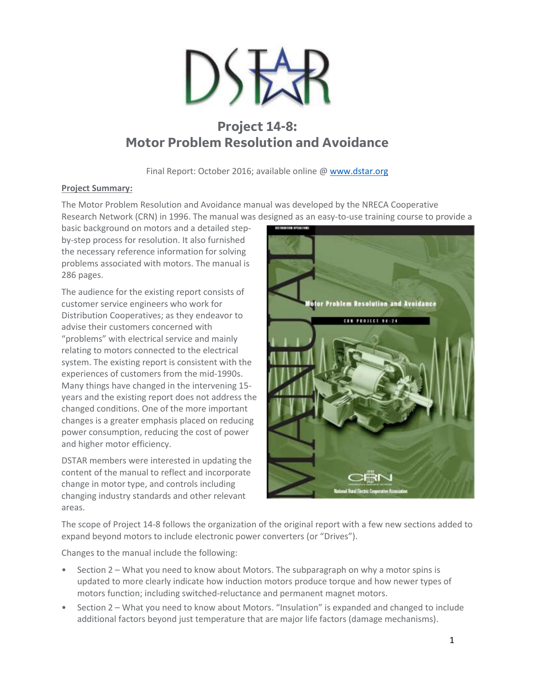

# **Project 14-8: Motor Problem Resolution and Avoidance**

Final Report: October 2016; available online @ [www.dstar.org](http://www.dstar.org/research/project/100/P14-8-motor-problems-resolution-and-avoidance-update-crn-publication)

## **Project Summary:**

The Motor Problem Resolution and Avoidance manual was developed by the NRECA Cooperative Research Network (CRN) in 1996. The manual was designed as an easy-to-use training course to provide a

basic background on motors and a detailed stepby-step process for resolution. It also furnished the necessary reference information for solving problems associated with motors. The manual is 286 pages.

The audience for the existing report consists of customer service engineers who work for Distribution Cooperatives; as they endeavor to advise their customers concerned with "problems" with electrical service and mainly relating to motors connected to the electrical system. The existing report is consistent with the experiences of customers from the mid-1990s. Many things have changed in the intervening 15 years and the existing report does not address the changed conditions. One of the more important changes is a greater emphasis placed on reducing power consumption, reducing the cost of power and higher motor efficiency.

DSTAR members were interested in updating the content of the manual to reflect and incorporate change in motor type, and controls including changing industry standards and other relevant areas.



The scope of Project 14-8 follows the organization of the original report with a few new sections added to expand beyond motors to include electronic power converters (or "Drives").

Changes to the manual include the following:

- Section 2 What you need to know about Motors. The subparagraph on why a motor spins is updated to more clearly indicate how induction motors produce torque and how newer types of motors function; including switched-reluctance and permanent magnet motors.
- Section 2 What you need to know about Motors. "Insulation" is expanded and changed to include additional factors beyond just temperature that are major life factors (damage mechanisms).